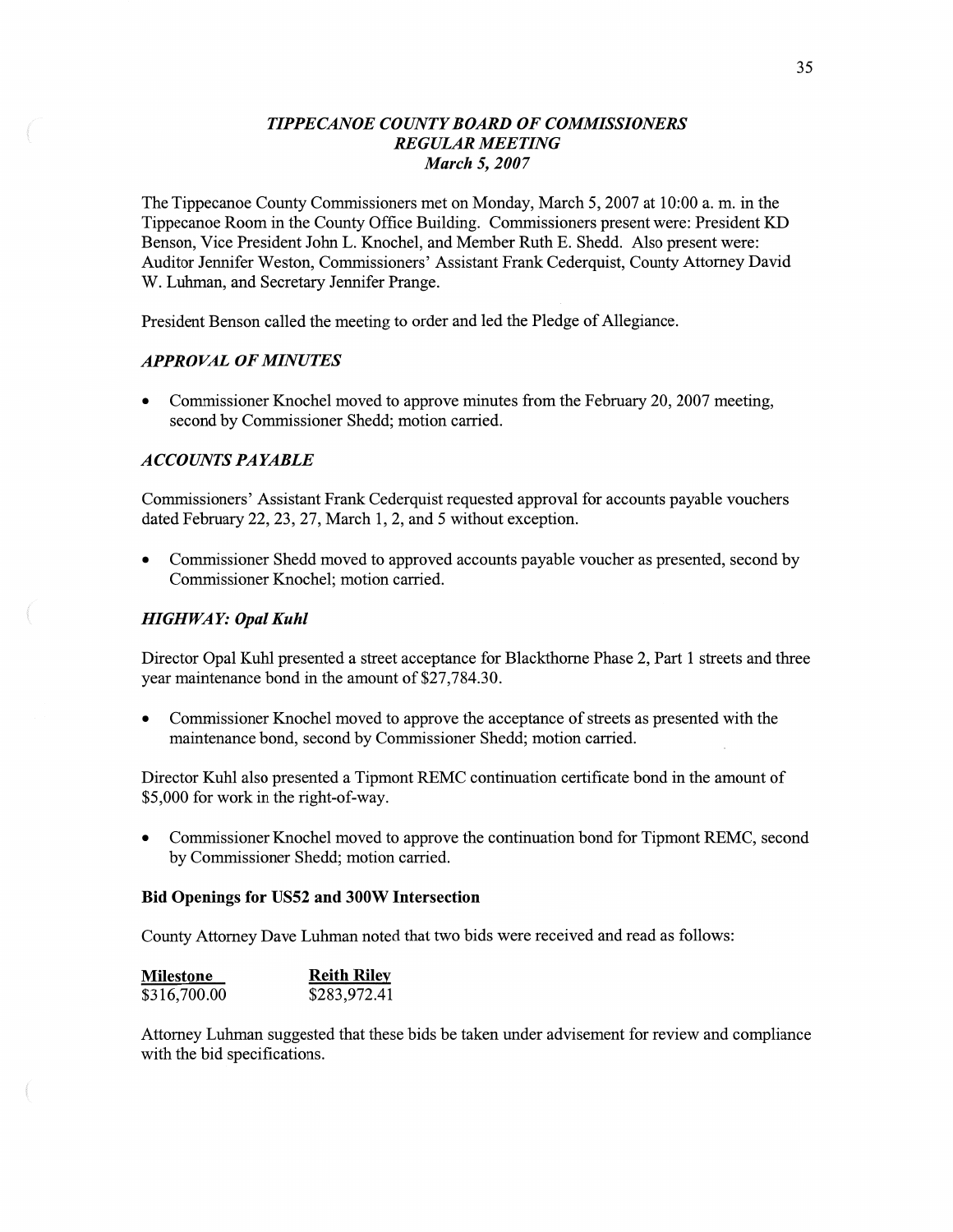# *TIPPECANOE COUNT Y BOARD* OF *COMMISSIONERS REGULAR MEETING March* 5, *2007*

The Tippecanoe County Commissioners met on Monday, March 5, 2007 at **10:00** a. m. in the Tippecanoe Room in the County Office Building. Commissioners present were: President KD Benson, Vice President John L. Knochel, and Member Ruth B. Shedd. Also present were: Auditor Jennifer Weston, Commissioners' Assistant Frank Cederquist, County Attorney David W. Luhman, and Secretary Jennifer Prange.

President **Benson** called the meeting to order and led the Pledge of Allegiance.

## *APPROVAL* OF *MINUTES*

**0** Commissioner Knochel **moved** to approve minutes from the February 20, 2007 meeting, second by Commissioner Shedd; motion carried.

#### *ACCOLUVT S PAYABLE*

Commissioners' Assistant Frank Cederquist requested approval for accounts payable vouchers dated February 22, 23, 27, March 1, 2, and 5 Without exception.

**0** Commissioner Shedd moved to approved accounts payable voucher as presented, second by Commissioner Knochel; motion carried.

### *HIGHWAY: Opal Kuhl*

Director Opal Kuhl presented a street acceptance for Blackthorne Phase 2, Part 1 streets and three year maintenance bond in the amount of \$27,784.30.

**0** Commissioner Knochel moved to approve the acceptance of streets as presented with the maintenance bond, second by Commissioner Shedd; motion carried.

Director Kuhl also presented a Tipmont REMC continuation certificate bond in the **amount** of \$5,000 for work in the right-of-way.

**0** Commissioner Knochel moved to approve the continuation bond for Tipmont REMC, second by Commissioner Shedd; motion carried.

## Bid **Openings** for U852 and **300W** Intersection

County Attorney Dave Luhman noted **that** two bids were received and read as follows:

| <b>Milestone</b> | <b>Reith Riley</b> |
|------------------|--------------------|
| \$316,700.00     | \$283,972.41       |

Attorney Luhman suggested that these bids be taken under advisement for review and compliance with the bid specifications.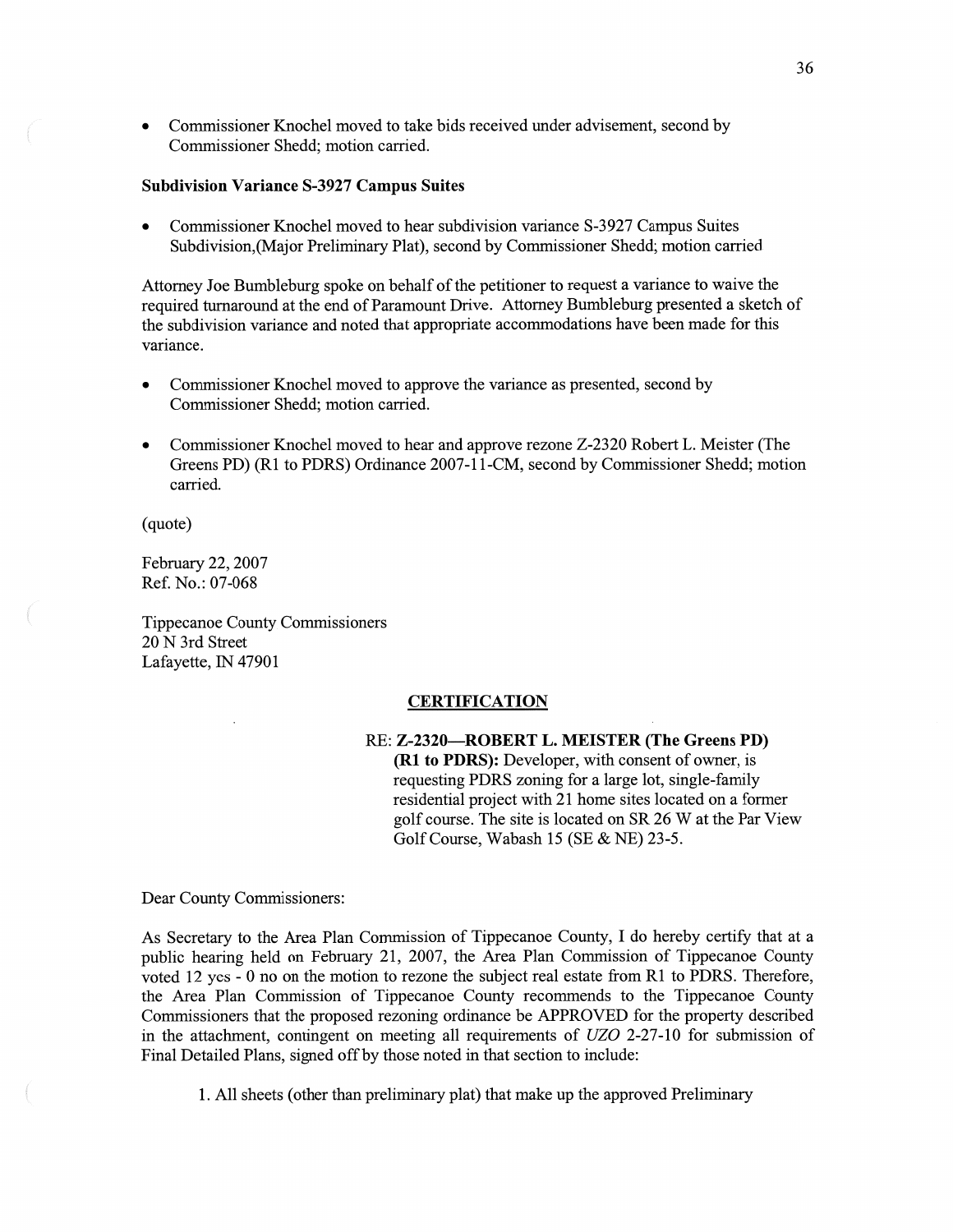**0** Commissioner Knochel moved to take bids received under advisement, second by Commissioner Shedd; motion carried.

#### **Subdivision Variance S-3927 Campus Suites**

**0** Commissioner Knochel moved to hear subdivision variance 8-3 927 Campus Suites Subdivision, (Major Preliminary Plat), second by Commissioner Shedd; motion carried

Attorney Joe Bumbleburg spoke on behalf of the petitioner to request a variance to waive the required turnaround at the end of Paramount Drive. Attorney Bumbleburg presented a sketch of the subdivision variance and noted that appropriate accommodations have been made for this variance.

- **0** Commissioner **Knochel** moved to approve the variance as presented, second by Commissioner Shedd; **motion** carried.
- **0** Commissioner Knochel moved to hear and approve rezone Z-2320 Robert L. Meister (The Greens PD) (R1 to PDRS) Ordinance 2007-11-CM, second by Commissioner Shedd; motion carried.

(quote)

February 22, 2007 Ref. No.: 07-068

Tippecanoe County, Commissioners 20 N 3rd Street Lafayette, IN 47901

## **CERTIFICATION**

RE: **Z—2320—ROBERT** L. **NIEISTER (The** Greens PD) (R1 to **PDRS):** Developer, with consent of owner, is requesting PDRS zoning for a large lot, single-family residential project with 21 home sites located on a former golf course. The site is located on SR 26 W at the Par View Golf Course, Wabash 15 (SE & NE) 23-5.

Dear County Commissioners:

As Secretary to the Area Plan Commission of Tippecanoe County, I do hereby certify that at **<sup>a</sup>** public hearing held on February 21, 2007, the Area **Plan** Commission of Tippecanoe County voted 12 yes *-* **0** no on the motion to rezone the subject real estate from R1 to PDRS. Therefore, the Area Plan Commission of Tippecanoe County recommends to the Tippecanoe County Commissioners that the proposed rezoning ordinance be APPROVED for the property described in the attachment, contingent on meeting all requirements of UZO 2-27-10 for submission of **Final** Detailed Plans, signed off by those noted in that section to include:

1. A11 sheets (other than preliminary plat) that make up the approved Preliminary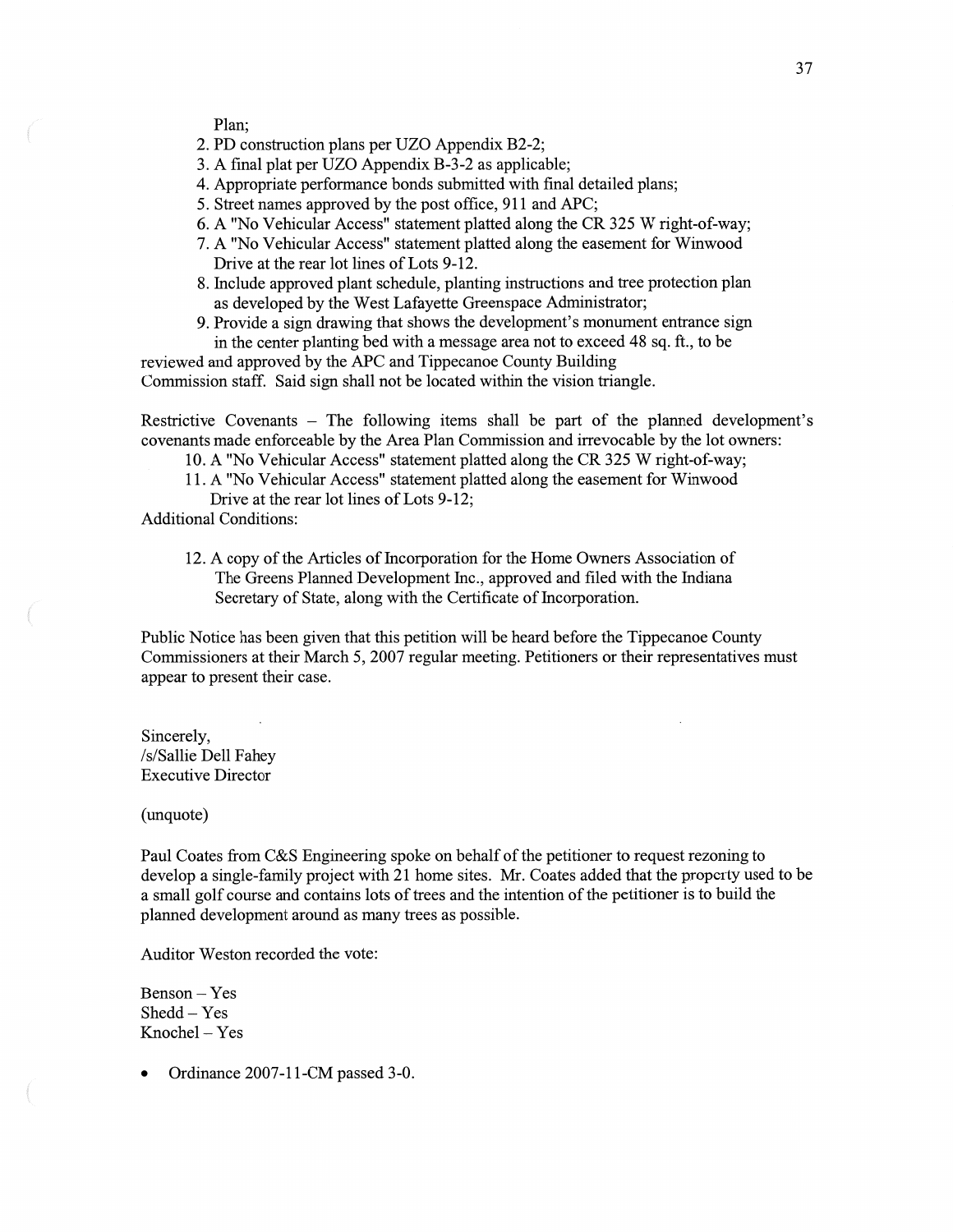Plan;

- 2. PD construction plans per UZO Appendix B2-2;
- 3. **A** final plat per UZO Appendix B-3 -2 as applicable;
- 4. Appropriate performance bonds submitted with final detailed plans;
- 5. Street names approved by the post office, 911 and APC;
- 6. **A** "No Vehicular Access" statement platted along the CR 325 **W** right-of—way;
- 7. **A** "No Vehicular Access" statement platted along the easement for Winwood Drive at the rear lot lines of Lots 9-12.
- 8. Include approved plant schedule, planting instructions and tree protection plan as developed by the West Lafayette Greenspace Administrator;
- 9. Provide a sign drawing that shows the development's monument entrance sign in the center planting bed with a message area not to exceed 48 sq. ft., to be

reviewed and approved by the APC and Tippecanoe County Building Commission staff. Said sign shall not be located within the **Vision** triangle.

Restrictive Covenants — The following items shall be part of the planned development's covenants made enforceable by the Area Plan **Commission** and irrevocable by the lot owners:

- 10. A "No Vehicular Access" statement platted along the CR 325 **W** right-of-way;
- 11. A "No Vehicular Access" statement platted along the easement for Winwood Drive at the rear lot lines of Lots 9-12;

Additional Conditions:

12. A copy of the Articles of Incorporation for the Home Owners Association of The Greens Planned **Development** Inc., approved and filed with the Indiana Secretary of State, along with the Certificate of Incorporation.

Public Notice has been given that this petition will be heard before the Tippecanoe County Commissioners at their March 5, 2007 regular meeting. Petitioners or their representatives must appear to present their case.

Sincerely, /s/ Sallie Dell Fahey Executive Director

(unquote)

Paul Coates from C&S Engineering spoke on behalf of the petitioner to request rezoning to develop a single-family project with 21 home sites. Mr. Coates added that the property used to be a small golf course and contains lots of trees and the **intention** of the petitioner is to build the planned development around as many trees as possible.

Auditor Weston recorded the vote:

Benson *—* Yes Shedd — Yes Knochel — Yes

**0** Ordinance 2007-11-CM passed 3-0.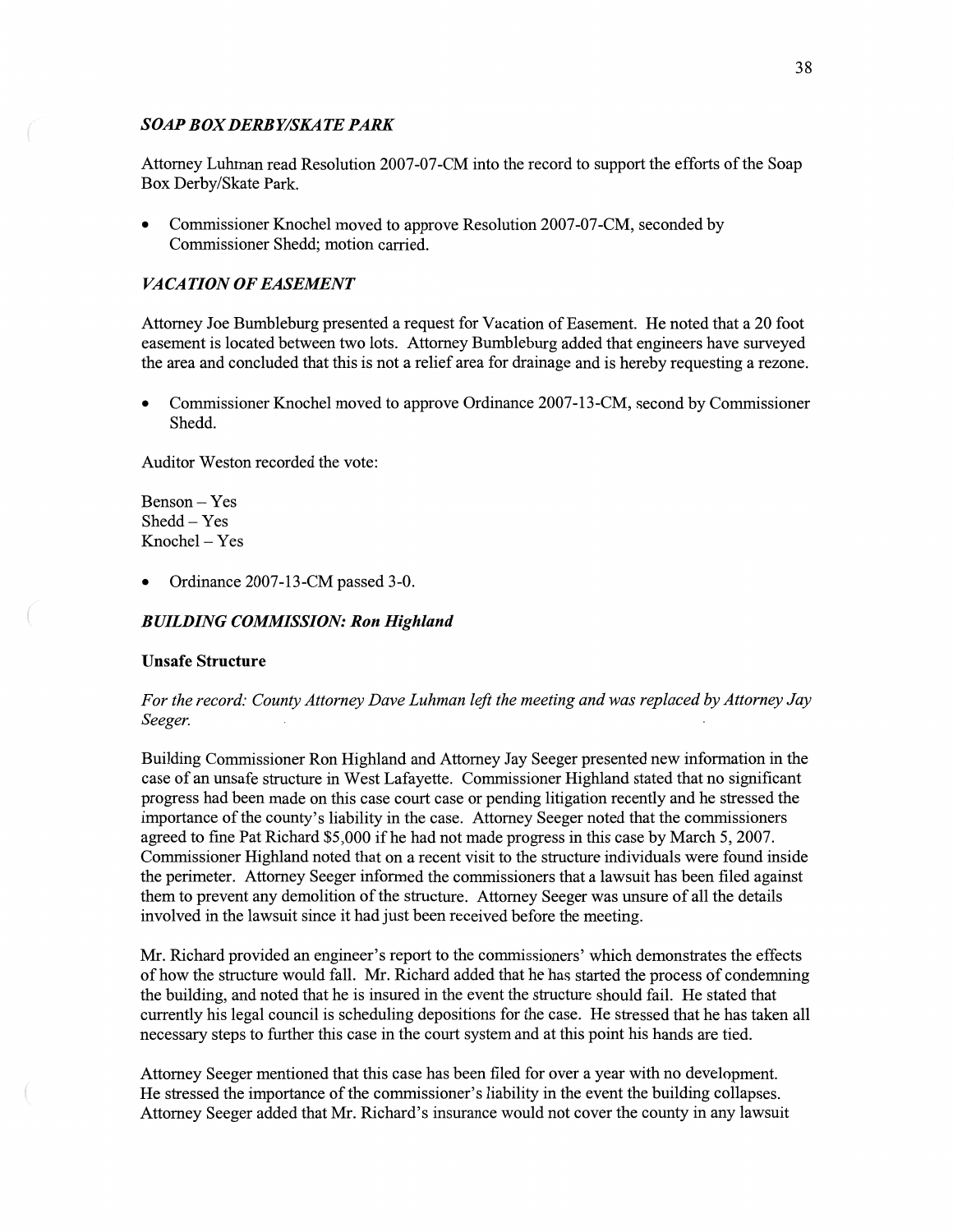## *SOAP* BOX *DERB Y/SKA* TE *PARK*

Attorney **Luhman** read Resolution 2007—07—CM **into** the record to suppor<sup>t</sup>the efforts of the Soap Box Derby/Skate Park.

**0** Commissioner Knochel **moved** to approve Resolution 2007-07-CM, seconded by Commissioner Shedd; motion carried.

## *VACATION OF EASEMENT*

Attorney Joe Bumbleburg presented a request for Vacation of Easement. He noted that a 20 foot easement is located between two lots. Attorney Bumbleburg added that engineers have surveyed the area and concluded that this is not a relief area for drainage and is hereby requesting a rezone.

**0** Commissioner Knochel moved to approve Ordinance 2007-13—CM, second by Commissioner Shedd.

Auditor Weston recorded the vote:

Benson — Yes Shedd **—** Yes Knochel *—* Yes

**0** Ordinance 2007—13-CM passed 3-0.

### *BUILDING COMMISSION:* Ron *Highland*

#### **Unsafe Structure**

For the *record: County Attorney Dave Luhman left* the *meeting* and was *replaced* by *Attorney* Jay *Seeger. . .* 

Building Commissioner Ron Highland and Attorney Jay Seeger presented new information in the case of an unsafe structure in West Lafayette. Commissioner Highland stated that no significant progress had been made on this case court case or pending litigation recently and he stressed the importance of the county's liability in the case. Attorney Seeger noted that the commissioners agreed to fine Pat Richard \$5,000 if he had not made progress in this case by March 5, 2007. Commissioner Highland noted that on a recent visit to the structure individuals were found inside the perimeter. Attorney Seeger informed the commissioners that a lawsuit has been filed against them to prevent any demolition of the structure. Attorney Seeger was unsure of all the details involved in the lawsuit since it had just been received before the meeting.

Mr. Richard provided an engineer's report to the commissioners' which demonstrates the effects of how the structure would fall. Mr. Richard added that he has started the process of condemning the building, and noted that he is insured in the event the structure should fail. He stated that currently his legal council is scheduling depositions for the case. He stressed that he has taken all necessary steps to further this case in the court system and at this point his hands are tied.

Attorney Seeger **mentioned** that this case has been filed for over a year with no development. He stressed the importance of the commissioner's liability in the **event** the building collapses. Attorney Seeger added that Mr. Richard's insurance would not cover the county in any lawsuit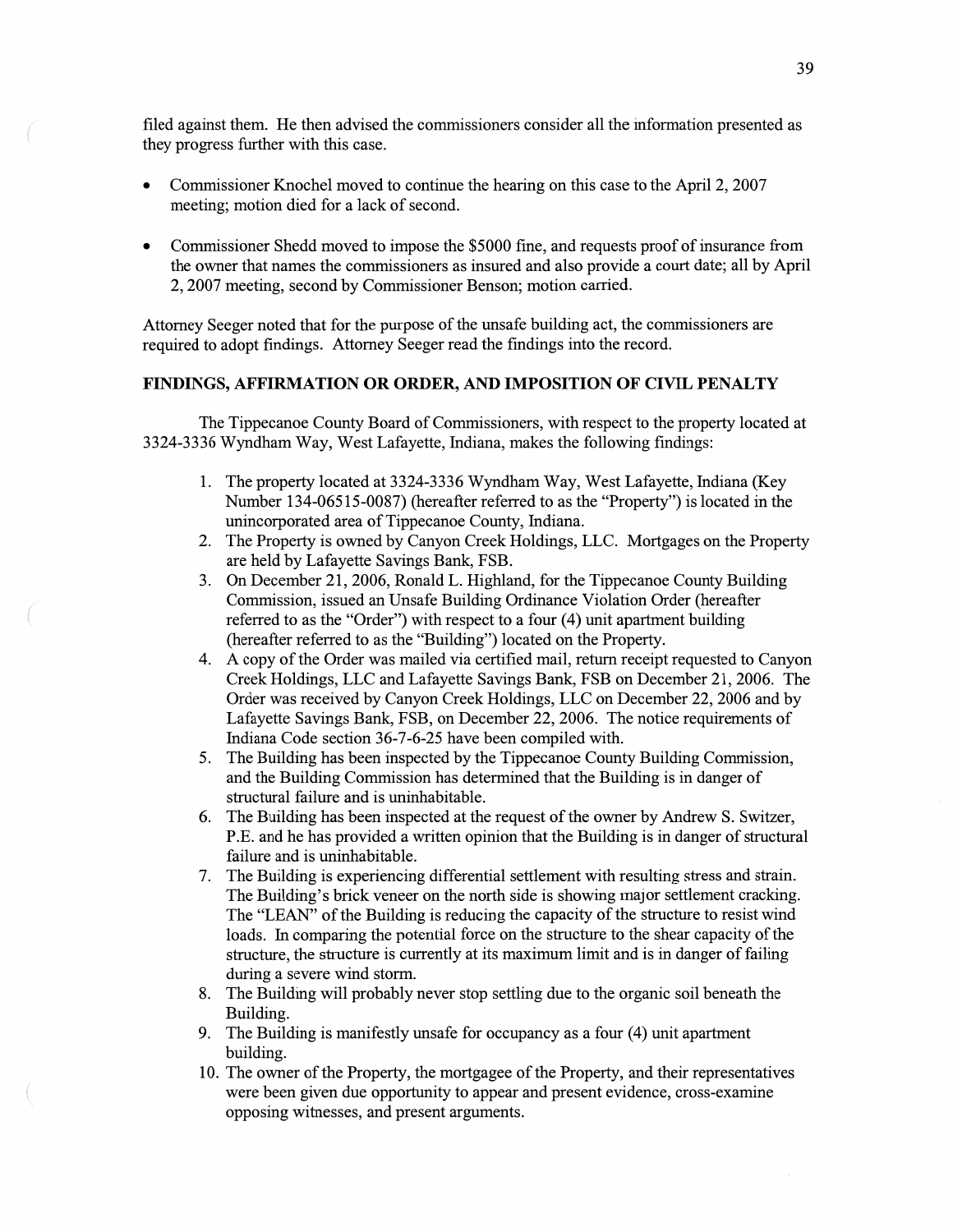filed against them. He then advised the commissioners consider all the information presented as they progress further with **this** case.

- **0** Commissioner Knochel moved to continue the hearing on this case to the April 2, 2007 meeting; **motion** died for a lack of second.
- **0** Commissioner Shedd moved to impose the \$5000 fine, and requests proof of insurance fiom the owner that names the commissioners as insured and also provide a court date; all by April 2, 2007 meeting, second by Commissioner Benson; **motion** carried.

Attorney Seeger noted that for the purpose of the unsafe building act, the commissioners are required to adopt findings. Attorney Seeger read the findings into the record.

## **FINDINGS, AFFIRMATION** OR **ORDER,** AND **IMPOSITION** OF CIVIL **PENALTY**

The Tippecanoe County Board of Commissioners, with respect to the property located at 3324-3336 Wyndham Way, West Lafayette, Indiana, makes the following findings:

- 1. The property located at 3324-3336 Wyndham Way, West Lafayette, Indiana (Key Number 134-06515-0087) (hereafter referred to as the "Property") is located in the unincorporated area of Tippecanoe County, Indiana.
- The Property is owned by Canyon Creek Holdings, LLC. Mortgages on the Property are held by Lafayette Savings Bank, FSB.
- On December 21, 2006, Ronald L. Highland, for the Tippecanoe County Building 3. Commission, issued an Unsafe Building Ordinance Violation Order (hereafter referred to as the "Order") with respect to **a** four (4) unit apartment building (hereafter referred to as the "Building") located on the Property.
- **A** copy of the Order was mailed via certified **mail,** return receipt requested to Canyon Creek Holdings, LLC and Lafayette Savings Bank, FSB on December 21, 2006. The Order was received by Canyon Creek Holdings, LLC on December 22, 2006 and by Lafayette Savings Bank, FSB, on December 22, 2006. The notice requirements of Indiana Code section 36-7-6-25 have been compiled with.
- 5. The Building has been inspected by the Tippecanoe County Building Commission, and the Building Commission has determined that the Building is in danger of structural failure and is uninhabitable.
- The Building has been inspected at the request of the owner by Andrew S. Switzer, RE. and he has provided **a** written opinion that the Building is in danger of structural failure and is uninhabitable.
- 7. The Building is experiencing differential settlement with resulting stress and strain. The Building's brick veneer on the north side is showing major settlement cracking. The **"LEAN"** of the Building is reducing the capacity of the structure to resist wind loads. In comparing the potential force on the structure to the shear capacity of the structure, the structure is currently at its **maximum** limit and is in danger of failing during a severe Wind storm.
- The Building will probably never stop settling due to the organic soil beneath the Building.
- The Building is manifestly unsafe for occupancy as **a** four (4) unit apartment building.
- 10. The owner of the Property, the mortgagee of the Property, and their representatives were been given due opportunity to appear and present evidence, cross-examine opposing Witnesses, and present arguments.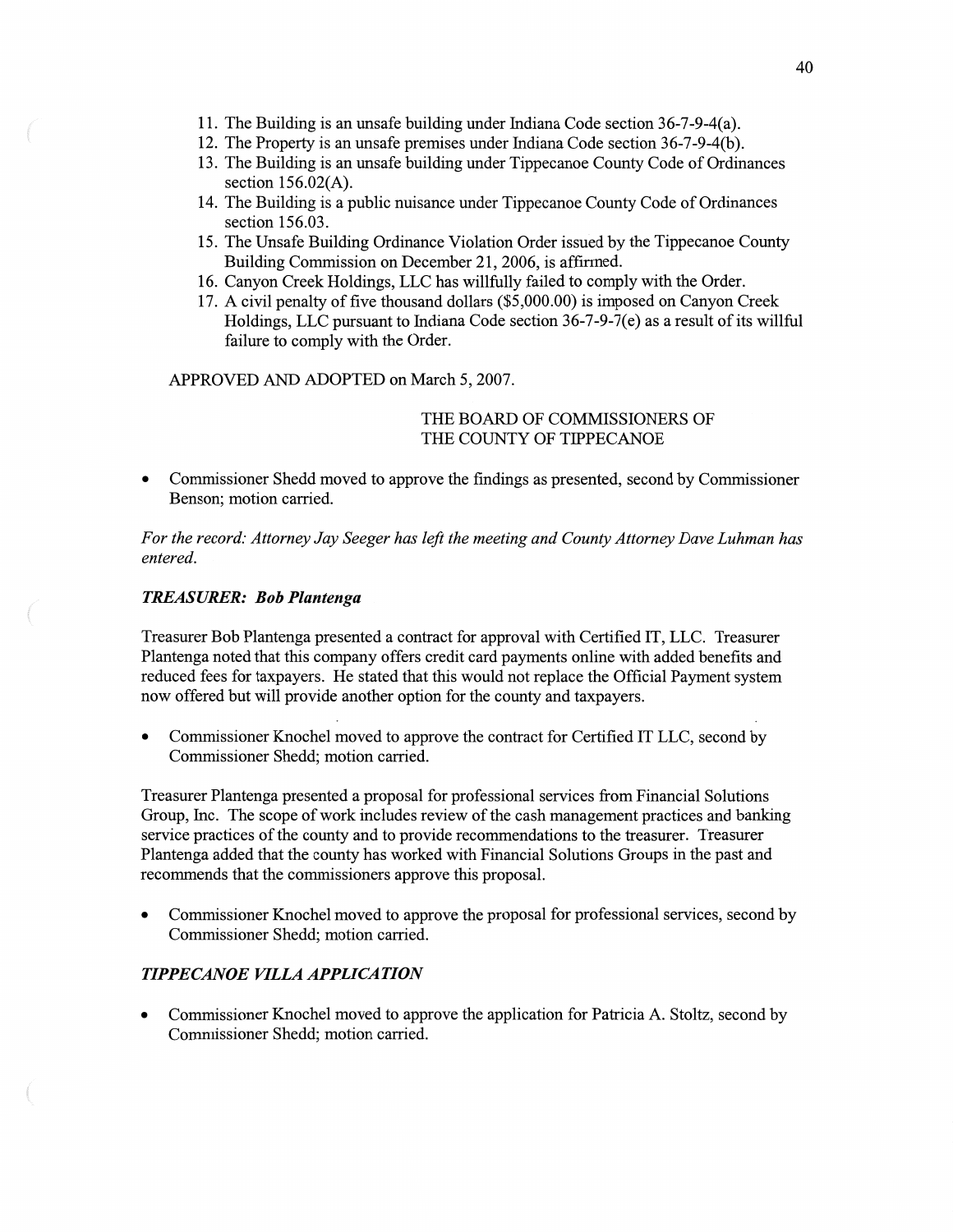- 11. The Building is an unsafe building under **Indiana** Code section 36-7-9-4(a).
- 12. The Property is an unsafe premises under Indiana Code section 36-7-9-4(b).
- 13. The Building is an unsafe building under Tippecanoe County Code of Ordinances section 156.02(A).
- 14. The Building is a public nuisance under Tippecanoe County Code of Ordinances section 156.03.
- 15. The Unsafe Building Ordinance Violation Order issued by the Tippecanoe County Building Commission on December 21, 2006, is affirmed.
- 16. Canyon Creek Holdings, LLC has willfully failed to comply with the Order.
- 17. **A** civil penalty of five thousand dollars (\$5,000.00) is imposed on Canyon Creek Holdings, LLC pursuant to Indiana Code section  $36-7-9-7(e)$  as a result of its willful failure to comply with the Order.

APPROVED AND ADOPTED on March 5, 2007.

## THE BOARD OF COMMISSIONERS OF THE COUNTY OF TIPPECANOE

**0** Commissioner Shedd **moved** to approve the findings as presented, second by Commissioner Benson; motion carried.

For the *record: Attorney* Jay *Seeger* has *left* the *meeting* and *County Attorney Dave Luhman* has *entered.* 

## *TREASURER:* Bob *Plantenga*

Treasurer Bob Plantenga presented a contract for approval with Certified IT, LLC. Treasurer Plantenga noted that **this** company offers credit card payments online with added benefits and reduced **fees** for taxpayers. He stated that this would not replace the Official Payment system now offered but will provide another option for the county and taxpayers.

**0** Commissioner Knochel moved to approve the contract for Certified IT LLC, second by Commissioner Shedd; motion carried.

Treasurer Plantenga presented <sup>a</sup>proposal for professional services from Financial Solutions Group, Inc. The scope of work includes review of the cash management practices and banking service practices of the county and to provide recommendations to the treasurer. Treasurer Plantenga added that the county has worked with Financial Solutions Groups in the past and recommends that the commissioners approve this proposal.

**0** Commissioner Knochel moved to approve the proposal for professional services, second by Commissioner Shedd; motion carried.

## *TIPPECANOE VILLA APPLICATION*

 $\left($ 

**0** Commissioner Knochel **moved** to approve the application for Patn'cia A. Stoltz, second by Commissioner Shedd; **motion** carried.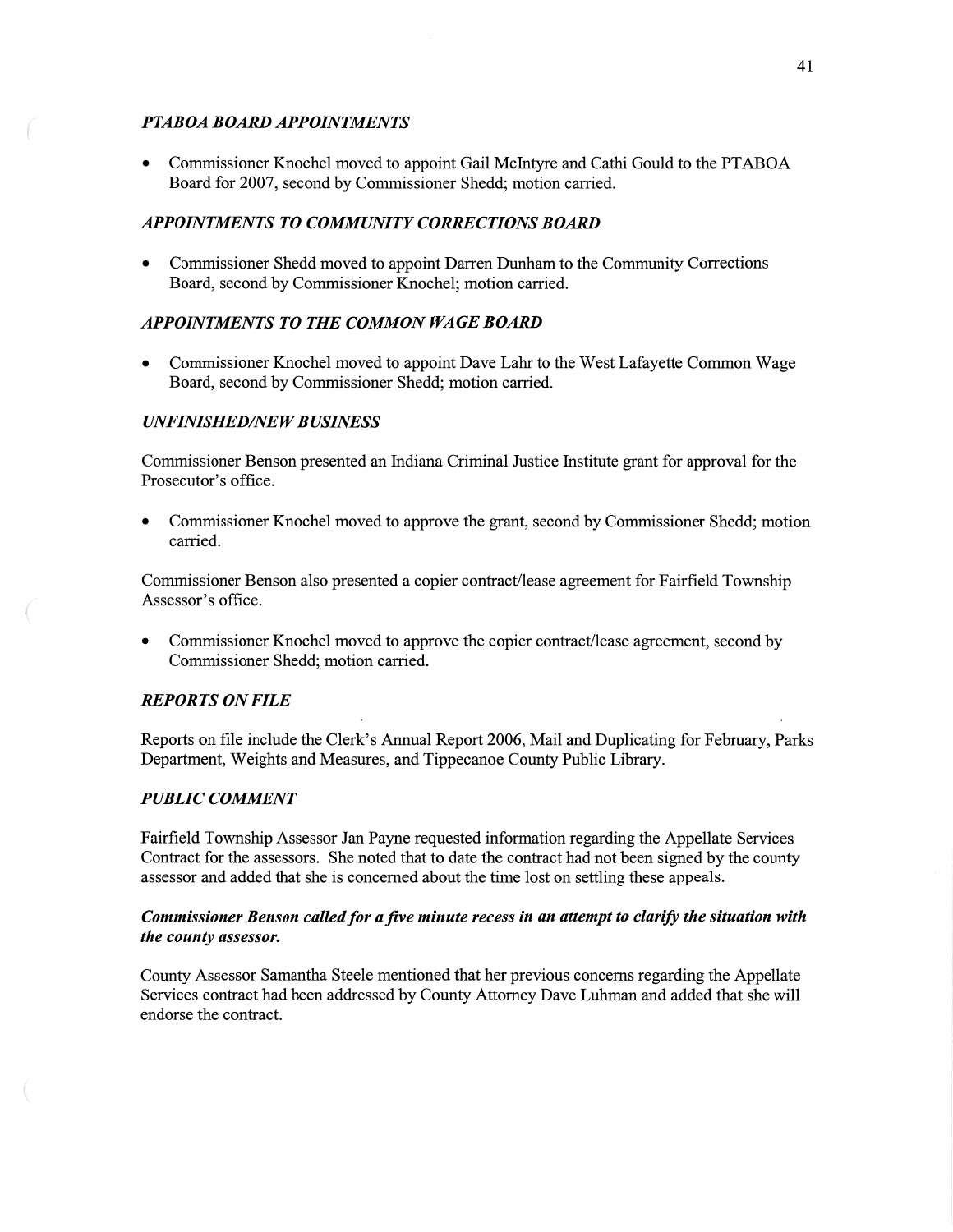# *PTABOA BOARD APPOINTMENTS*

**0** Commissioner Knochel moved to appoint Gail McIntyre and Cathi Gould to the **PTABOA**  Board for 2007, second by Commissioner Shedd; motion carried.

## **APPOINTMENTS TO COMMUNITY CORRECTIONS BOARD**

**0** Commissioner Shedd **moved** to appoint Darren Dunham to the Community Corrections Board, second by Commissioner Knochel; motion carried.

## *APPOINTMENTS TO THE COMMON WAGE BOARD*

**0** Commissioner Knochel moved to appoint **Dave** Lahr to the West Lafayette Common Wage Board, **second** by Commissioner Shedd; motion carried.

# $UNFINISHED/NEW BUSINESS$

Commissioner Benson presented an Indiana Criminal Justice Institute grant for approval for the Prosecutor's office.

**0** Commissioner Knochel moved to approve the grant, second by Commissioner Shedd; motion carried.

Commissioner Benson also presented **a** copier contract/lease agreement for Fairfield Township Assessor's office.

Commissioner Knochel moved to approve the copier contract/lease agreement, second by Commissioner Shedd; **motion** carried.

#### *REPORTS* ON *FILE*

Reports on file include the Clerk's Annual Report 2006, Mail and Duplicating for February, Parks Department, Weights and Measures, and Tippecanoe County Public Library.

# *PUBLIC COMMENT*

Fairfield Township Assessor Jan Payne requested information regarding the Appellate Services Contract for the assessors. She noted **that** to date the contract had not been signed by the county assessor and added that she is concerned about the time lost on settling these appeals.

# *Commissioner Benson called* for *a* five *minute recess* in an *attempt* to *clarifi:* the *situation with*  the *county assessor.*

County Assessor Samantha Steele mentioned that her previous concerns regarding the Appellate Services contract had been addressed by County Attorney Dave Luhman and added that she will endorse the contract.